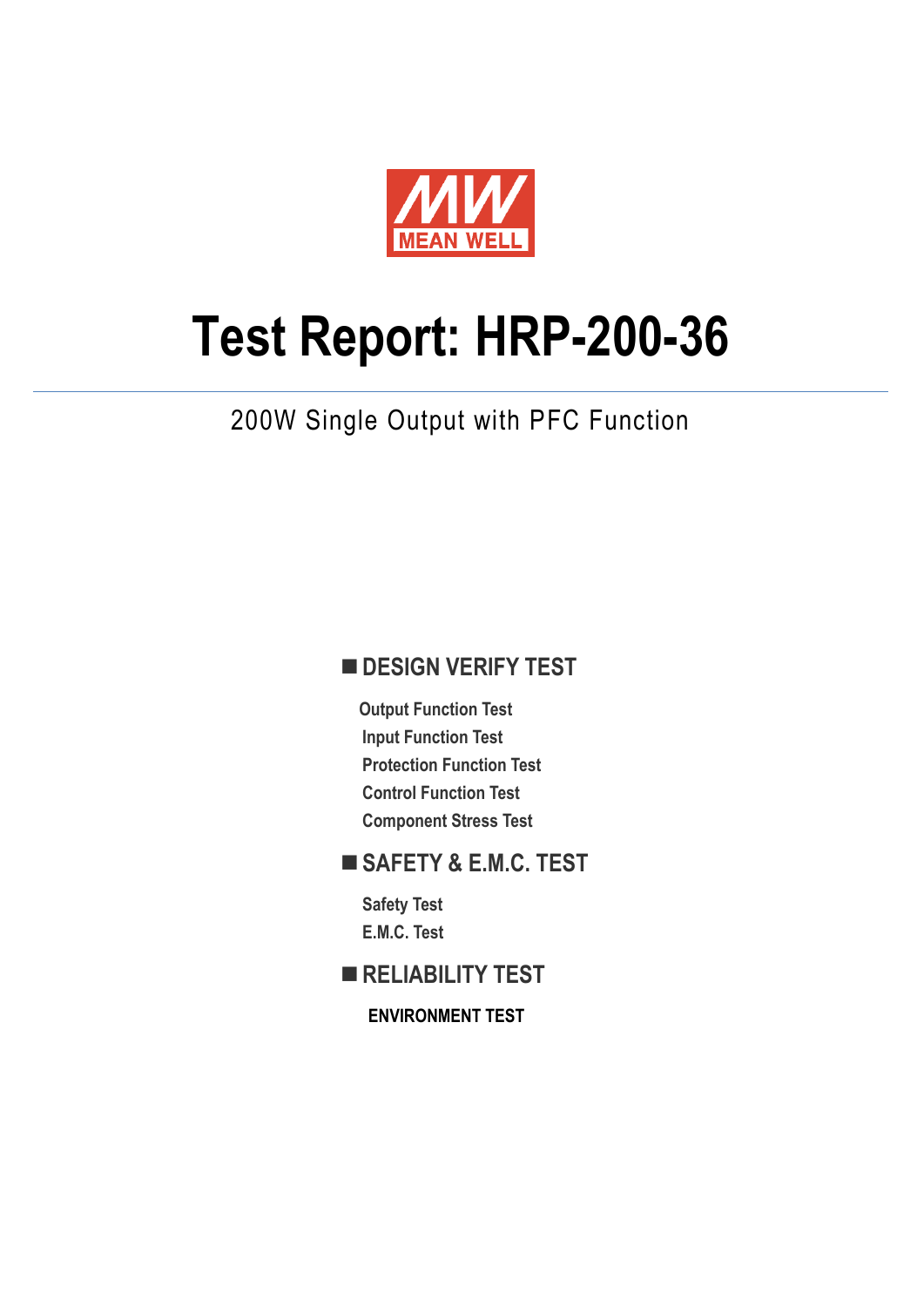

# **Test Report: HRP-200-36**

## 200W Single Output with PFC Function

#### **DESIGN VERIFY TEST**

**Output Function Test Input Function Test Protection Function Test Control Function Test Component Stress Test**

#### **SAFETY & E.M.C. TEST**

**Safety Test E.M.C. Test**

**RELIABILITY TEST**

**ENVIRONMENT TEST**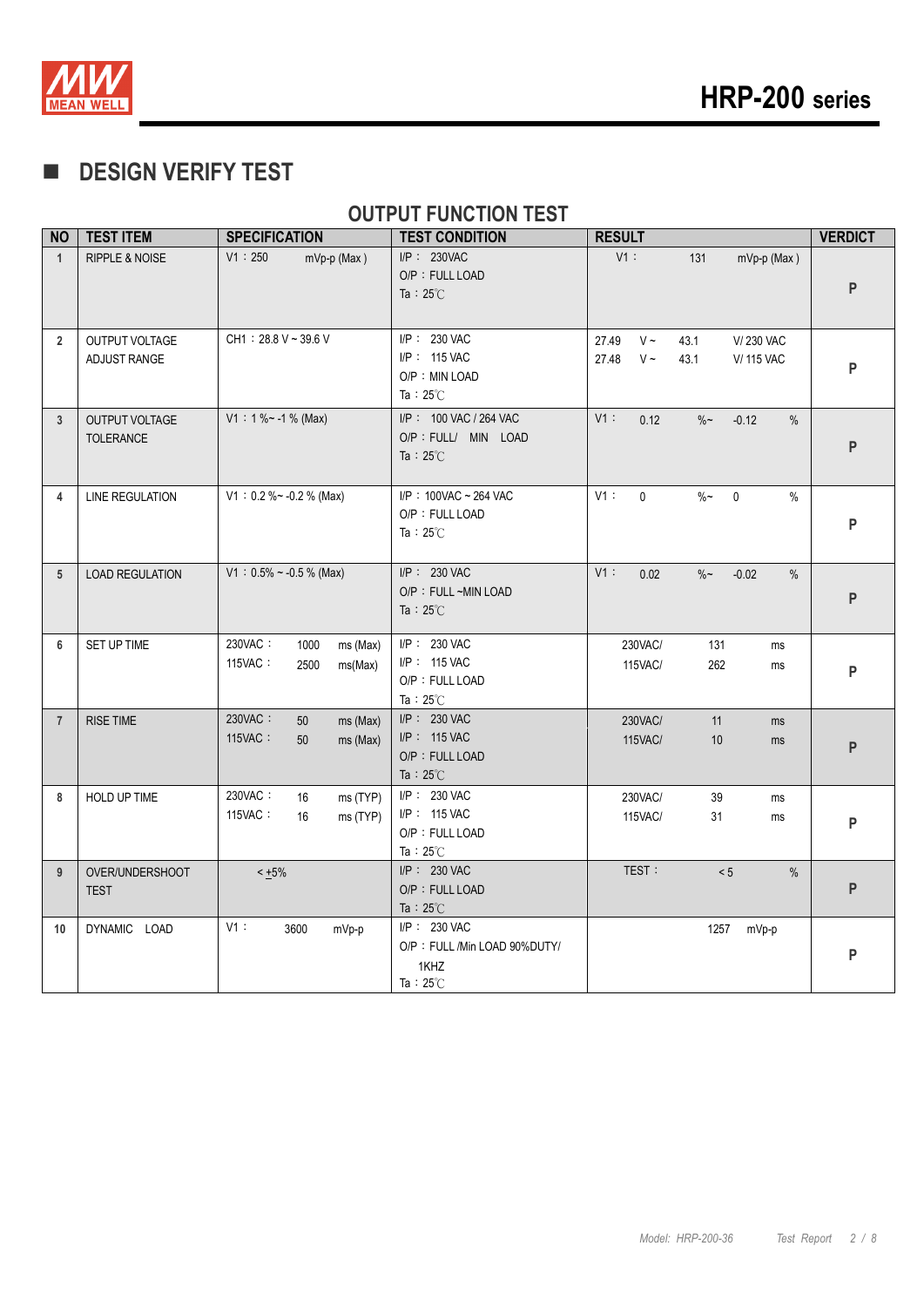

## **DESIGN VERIFY TEST**

#### **OUTPUT FUNCTION TEST**

| <b>NO</b>      | <b>TEST ITEM</b>                          | <b>SPECIFICATION</b>                                      | <b>TEST CONDITION</b>                                                      | <b>RESULT</b>                                                                            | <b>VERDICT</b> |
|----------------|-------------------------------------------|-----------------------------------------------------------|----------------------------------------------------------------------------|------------------------------------------------------------------------------------------|----------------|
| $\mathbf{1}$   | <b>RIPPLE &amp; NOISE</b>                 | V1:250<br>$mVp-p$ (Max)                                   | $I/P$ : 230VAC<br>O/P: FULL LOAD<br>Ta: $25^{\circ}$ C                     | V1:<br>131<br>mVp-p (Max)                                                                | P              |
| $\overline{2}$ | OUTPUT VOLTAGE<br>ADJUST RANGE            | $CH1: 28.8 V - 39.6 V$                                    | I/P: 230 VAC<br>$I/P$ : 115 VAC<br>O/P: MIN LOAD<br>Ta: $25^{\circ}$ C     | 27.49<br>$V \sim$<br>43.1<br>V/230 VAC<br>$V \sim$<br>27.48<br>43.1<br><b>V/ 115 VAC</b> | P              |
| $\mathbf{3}$   | <b>OUTPUT VOLTAGE</b><br><b>TOLERANCE</b> | $V1: 1\% ~ - 1\%$ (Max)                                   | I/P : 100 VAC / 264 VAC<br>O/P : FULL/ MIN LOAD<br>Ta: $25^{\circ}$ C      | $V1$ :<br>0.12<br>$\%$ ~<br>$-0.12$<br>%                                                 | P              |
| 4              | <b>LINE REGULATION</b>                    | $V1: 0.2 % ~ -0.2 %$ (Max)                                | I/P: 100VAC ~ 264 VAC<br>O/P: FULL LOAD<br>Ta: $25^{\circ}$ C              | V1:<br>$\mathbf{0}$<br>$\%$ ~<br>$\mathbf 0$<br>$\%$                                     | P              |
| 5              | <b>LOAD REGULATION</b>                    | $V1: 0.5\% \sim -0.5\%$ (Max)                             | I/P: 230 VAC<br>O/P : FULL ~MIN LOAD<br>Ta : $25^{\circ}$ C                | V1:<br>0.02<br>$\%$ ~<br>$-0.02$<br>$\%$                                                 | P              |
| 6              | SET UP TIME                               | 230VAC:<br>1000<br>ms (Max)<br>115VAC:<br>2500<br>ms(Max) | I/P: 230 VAC<br>I/P: 115 VAC<br>O/P: FULL LOAD<br>Ta: $25^{\circ}$ C       | 230VAC/<br>131<br>ms<br>262<br>115VAC/<br>ms                                             | P              |
| $\overline{7}$ | <b>RISE TIME</b>                          | 230VAC:<br>50<br>ms (Max)<br>115VAC:<br>ms (Max)<br>50    | I/P: 230 VAC<br>I/P: 115 VAC<br>O/P: FULL LOAD<br>Ta : $25^{\circ}$ C      | 11<br>230VAC/<br>ms<br><b>115VAC/</b><br>10<br>ms                                        | P              |
| 8              | HOLD UP TIME                              | 230VAC:<br>16<br>ms (TYP)<br>115VAC:<br>16<br>ms (TYP)    | I/P: 230 VAC<br>I/P: 115 VAC<br>O/P: FULL LOAD<br>Ta: $25^{\circ}$ C       | 230VAC/<br>39<br>ms<br>115VAC/<br>31<br>ms                                               | P              |
| 9              | OVER/UNDERSHOOT<br><b>TEST</b>            | $< +5\%$                                                  | $I/P$ : 230 VAC<br>O/P: FULL LOAD<br>Ta : $25^{\circ}$ C                   | TEST:<br>< 5<br>$\%$                                                                     | P              |
| 10             | DYNAMIC LOAD                              | V1:<br>3600<br>mVp-p                                      | I/P: 230 VAC<br>O/P: FULL /Min LOAD 90%DUTY/<br>1KHZ<br>Ta: $25^{\circ}$ C | 1257<br>mVp-p                                                                            | P              |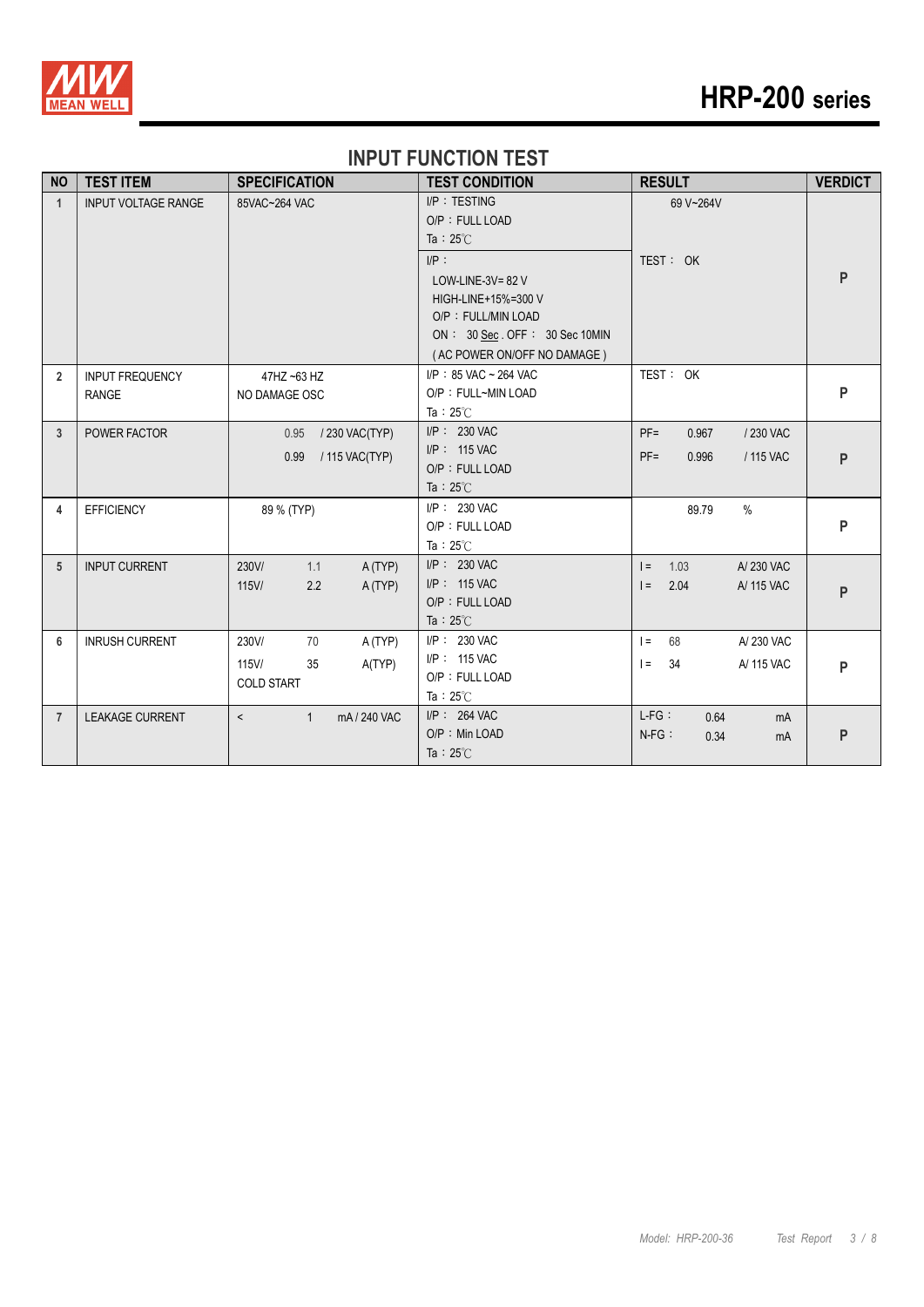

# **HRP-200 series**

#### **INPUT FUNCTION TEST**

| <b>NO</b>      | <b>TEST ITEM</b>           | <b>SPECIFICATION</b>                    | <b>TEST CONDITION</b>                 | <b>RESULT</b>                | <b>VERDICT</b> |
|----------------|----------------------------|-----------------------------------------|---------------------------------------|------------------------------|----------------|
| $\mathbf{1}$   | <b>INPUT VOLTAGE RANGE</b> | 85VAC~264 VAC                           | I/P: TESTING                          | 69 V~264V                    |                |
|                |                            |                                         | O/P: FULL LOAD                        |                              |                |
|                |                            |                                         | Ta: $25^{\circ}$ C                    |                              |                |
|                |                            |                                         | $I/P$ :                               | TEST: OK                     |                |
|                |                            |                                         | LOW-LINE-3V= $82$ V                   |                              | P              |
|                |                            |                                         | HIGH-LINE+15%=300 V                   |                              |                |
|                |                            |                                         | O/P: FULL/MIN LOAD                    |                              |                |
|                |                            |                                         | ON: 30 Sec. OFF: 30 Sec 10MIN         |                              |                |
|                |                            |                                         | (AC POWER ON/OFF NO DAMAGE)           |                              |                |
| $\overline{2}$ | <b>INPUT FREQUENCY</b>     | 47HZ ~63 HZ                             | I/P: 85 VAC ~ 264 VAC                 | TEST: OK                     |                |
|                | <b>RANGE</b>               | NO DAMAGE OSC                           | O/P: FULL~MIN LOAD                    |                              | P              |
|                |                            |                                         | Ta: $25^{\circ}$ C                    |                              |                |
| $\overline{3}$ | POWER FACTOR               | / 230 VAC(TYP)<br>0.95                  | $I/P$ : 230 VAC                       | $PF =$<br>0.967<br>/230 VAC  |                |
|                |                            | 0.99<br>/ 115 VAC(TYP)                  | $I/P$ : 115 VAC                       | $PF =$<br>/ 115 VAC<br>0.996 | P              |
|                |                            |                                         | O/P: FULL LOAD                        |                              |                |
|                |                            |                                         | Ta: $25^{\circ}$ C                    |                              |                |
| 4              | <b>EFFICIENCY</b>          | 89 % (TYP)                              | I/P: 230 VAC                          | $\%$<br>89.79                |                |
|                |                            |                                         | O/P: FULL LOAD                        |                              | P              |
|                |                            |                                         | Ta: $25^{\circ}$ C                    |                              |                |
| 5              | <b>INPUT CURRENT</b>       | 230V/<br>1.1<br>A(TYP)                  | I/P: 230 VAC                          | A/230 VAC<br>1.03<br>$=$     |                |
|                |                            | $115$ V/<br>2.2<br>A(TYP)               | $I/P$ : 115 VAC                       | $=$<br>2.04<br>A/ 115 VAC    | P              |
|                |                            |                                         | O/P: FULL LOAD                        |                              |                |
|                |                            |                                         | Ta: $25^{\circ}$ C<br>$I/P$ : 230 VAC |                              |                |
| 6              | <b>INRUSH CURRENT</b>      | 230V/<br>70<br>A (TYP)                  | I/P: 115 VAC                          | A/230 VAC<br>$\vert$ =<br>68 |                |
|                |                            | 35<br>A(TYP)<br>$115$ V/                | O/P: FULL LOAD                        | A/ 115 VAC<br>$=$<br>34      | P              |
|                |                            | <b>COLD START</b>                       | Ta: $25^\circ$ C                      |                              |                |
| $\overline{7}$ |                            | mA / 240 VAC<br>$\mathbf{1}$<br>$\prec$ | $I/P$ : 264 VAC                       | $L-FG:$<br>0.64              |                |
|                | <b>LEAKAGE CURRENT</b>     |                                         | O/P : Min LOAD                        | mA<br>$N-FG$ :<br>0.34       | P              |
|                |                            |                                         | Ta: $25^{\circ}$ C                    | mA                           |                |
|                |                            |                                         |                                       |                              |                |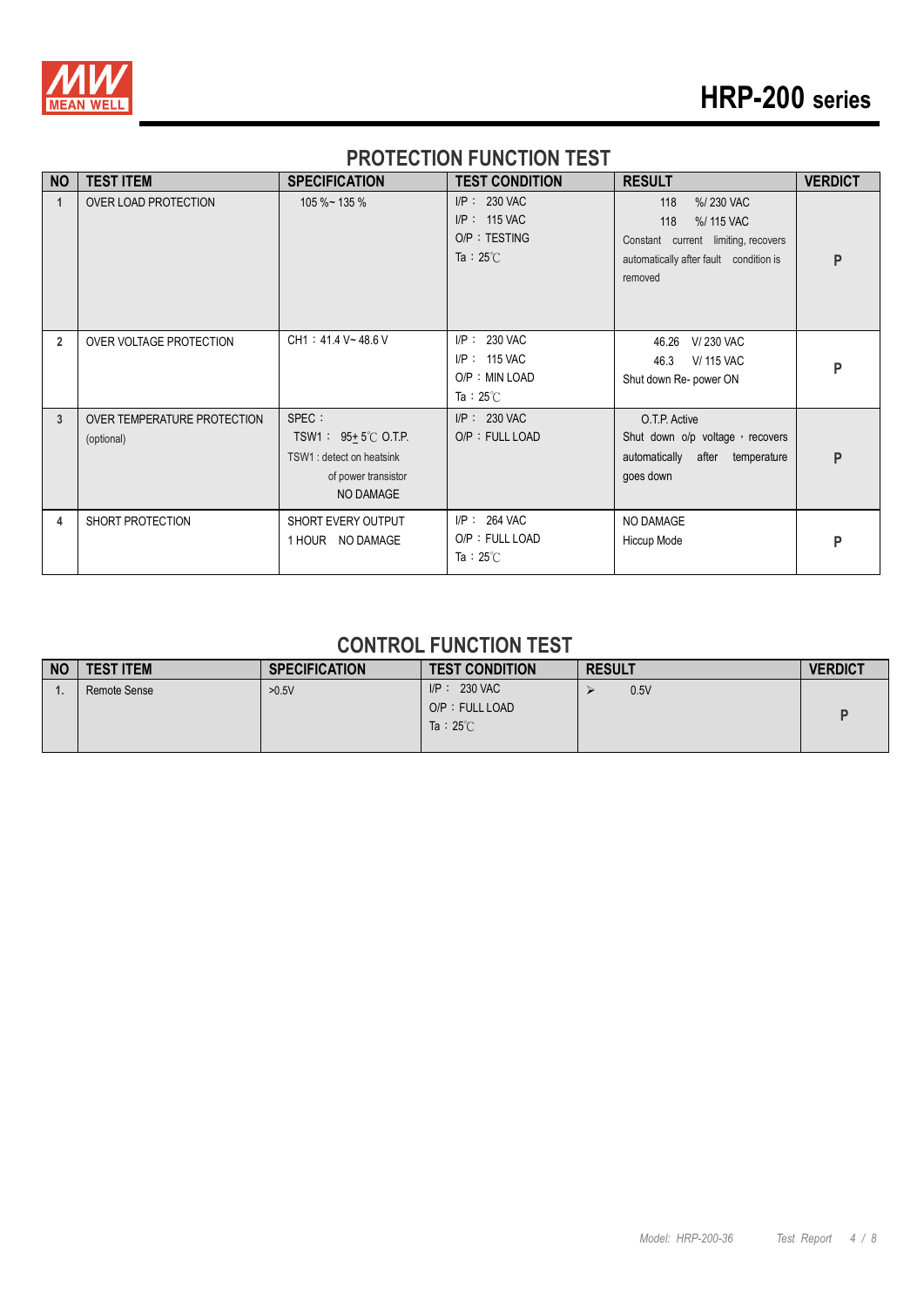

# **HRP-200 series**

#### **PROTECTION FUNCTION TEST**

| <b>NO</b>      | <b>TEST ITEM</b>                          | <b>SPECIFICATION</b>                                                                                         | <b>TEST CONDITION</b>                                                   | <b>RESULT</b>                                                                                                                     | <b>VERDICT</b> |
|----------------|-------------------------------------------|--------------------------------------------------------------------------------------------------------------|-------------------------------------------------------------------------|-----------------------------------------------------------------------------------------------------------------------------------|----------------|
| $\mathbf 1$    | OVER LOAD PROTECTION                      | $105 \%$ ~ 135 %                                                                                             | $I/P: 230$ VAC<br>$I/P$ : 115 VAC<br>O/P: TESTING<br>Ta: $25^{\circ}$ C | 118<br>%/230 VAC<br>118<br>%/ 115 VAC<br>Constant current limiting, recovers<br>automatically after fault condition is<br>removed | P              |
| $\overline{2}$ | OVER VOLTAGE PROTECTION                   | CH1: 41.4 V~48.6 V                                                                                           | I/P: 230 VAC<br>$I/P$ : 115 VAC<br>O/P: MIN LOAD<br>Ta: $25^{\circ}$ C  | V/230 VAC<br>46.26<br><b>V/ 115 VAC</b><br>46.3<br>Shut down Re- power ON                                                         | P              |
| 3              | OVER TEMPERATURE PROTECTION<br>(optional) | SPEC :<br>TSW1: $95 \pm 5^{\circ}$ C O.T.P.<br>TSW1 : detect on heatsink<br>of power transistor<br>NO DAMAGE | I/P: 230 VAC<br>O/P: FULL LOAD                                          | O.T.P. Active<br>Shut down o/p voltage, recovers<br>automatically after temperature<br>goes down                                  | P              |
| 4              | SHORT PROTECTION                          | SHORT EVERY OUTPUT<br>1 HOUR NO DAMAGE                                                                       | $I/P$ : 264 VAC<br>O/P: FULL LOAD<br>Ta: $25^{\circ}$ C                 | NO DAMAGE<br>Hiccup Mode                                                                                                          | P              |

#### **CONTROL FUNCTION TEST**

| <b>NO</b> | <b>TEST ITEM</b> | <b>SPECIFICATION</b> | <b>TEST CONDITION</b> | <b>RESULT</b> | <b>VERDICT</b> |
|-----------|------------------|----------------------|-----------------------|---------------|----------------|
|           | Remote Sense     | >0.5V                | $IP: 230$ VAC         | 0.5V          |                |
|           |                  |                      | O/P: FULL LOAD        |               |                |
|           |                  |                      | Ta: $25^{\circ}$ C    |               |                |
|           |                  |                      |                       |               |                |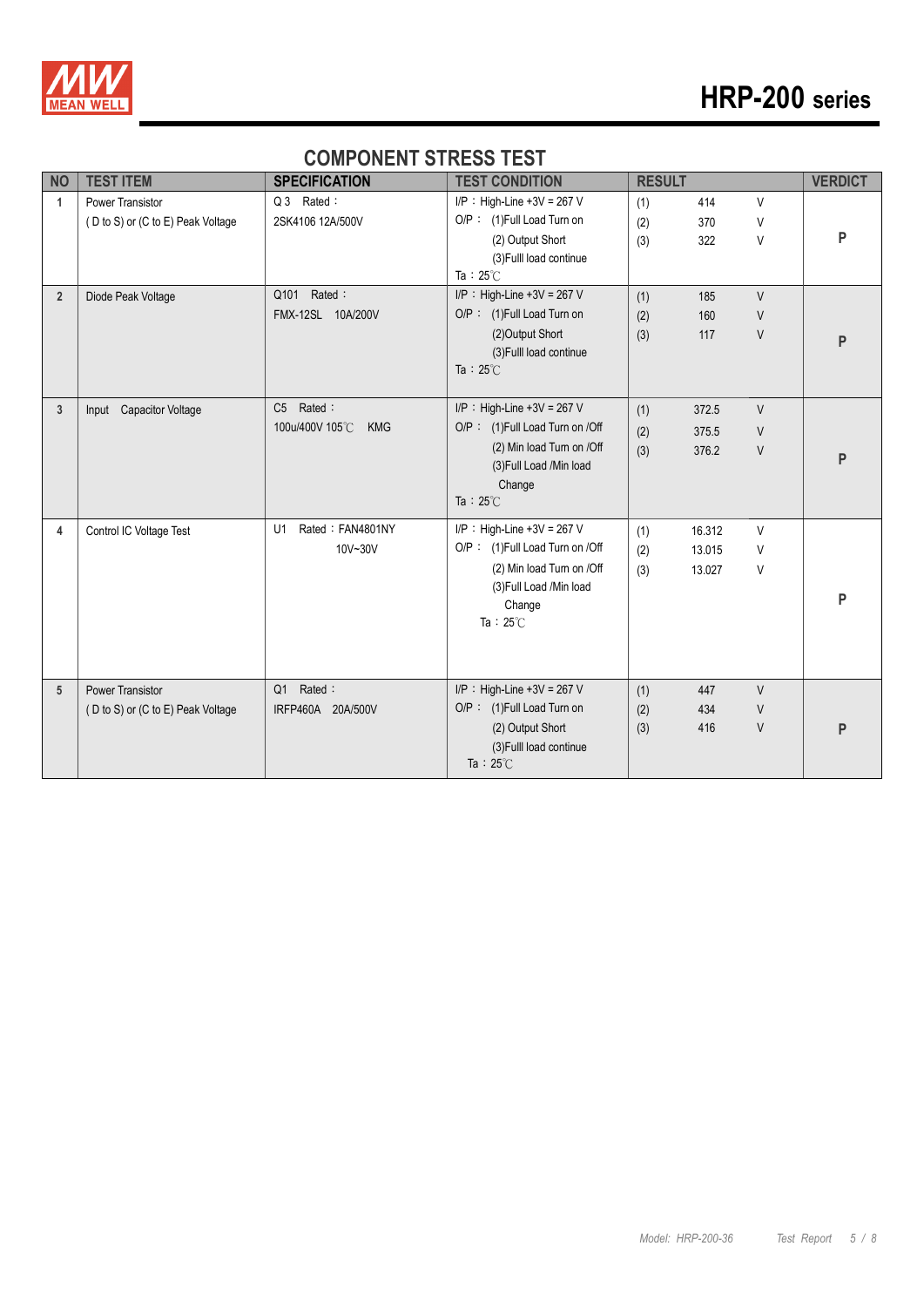

#### **COMPONENT STRESS TEST**

| <b>NO</b>      | <b>TEST ITEM</b>                                             | <b>SPECIFICATION</b>                                      | <b>TEST CONDITION</b>                                                                                                                                    | <b>RESULT</b>     |                            |                  | <b>VERDICT</b> |
|----------------|--------------------------------------------------------------|-----------------------------------------------------------|----------------------------------------------------------------------------------------------------------------------------------------------------------|-------------------|----------------------------|------------------|----------------|
| $\mathbf{1}$   | <b>Power Transistor</b><br>(D to S) or (C to E) Peak Voltage | Q 3 Rated:<br>2SK4106 12A/500V                            | $I/P$ : High-Line +3V = 267 V<br>O/P: (1)Full Load Turn on                                                                                               | (1)<br>(2)        | 414<br>370                 | V<br>V           |                |
|                |                                                              |                                                           | (2) Output Short<br>(3) Fulll load continue<br>Ta: $25^{\circ}$ C                                                                                        | (3)               | 322                        | V                | P              |
| $\overline{2}$ | Diode Peak Voltage                                           | Q101 Rated:<br>FMX-12SL 10A/200V                          | $I/P$ : High-Line +3V = 267 V<br>O/P: (1)Full Load Turn on<br>(2) Output Short<br>(3) Fulll load continue<br>Ta : $25^{\circ}$ C                         | (1)<br>(2)<br>(3) | 185<br>160<br>117          | $\vee$<br>V<br>V | P              |
| 3              | Input Capacitor Voltage                                      | Rated:<br>C <sub>5</sub><br>100u/400V 105°C<br><b>KMG</b> | $I/P$ : High-Line +3V = 267 V<br>O/P: (1)Full Load Turn on /Off<br>(2) Min load Turn on /Off<br>(3) Full Load /Min load<br>Change<br>Ta: $25^{\circ}$ C  | (1)<br>(2)<br>(3) | 372.5<br>375.5<br>376.2    | $\vee$<br>V<br>V | P              |
| 4              | Control IC Voltage Test                                      | Rated: FAN4801NY<br>U1<br>10V~30V                         | $I/P$ : High-Line +3V = 267 V<br>O/P: (1)Full Load Turn on /Off<br>(2) Min load Turn on /Off<br>(3) Full Load / Min load<br>Change<br>Ta: $25^{\circ}$ C | (1)<br>(2)<br>(3) | 16.312<br>13.015<br>13.027 | V<br>V<br>V      | P              |
| 5              | <b>Power Transistor</b><br>(D to S) or (C to E) Peak Voltage | Rated:<br>Q1<br>IRFP460A 20A/500V                         | $I/P$ : High-Line +3V = 267 V<br>O/P: (1)Full Load Turn on<br>(2) Output Short<br>(3) Fulll load continue<br>Ta: $25^{\circ}$ C                          | (1)<br>(2)<br>(3) | 447<br>434<br>416          | $\vee$<br>V<br>V | P              |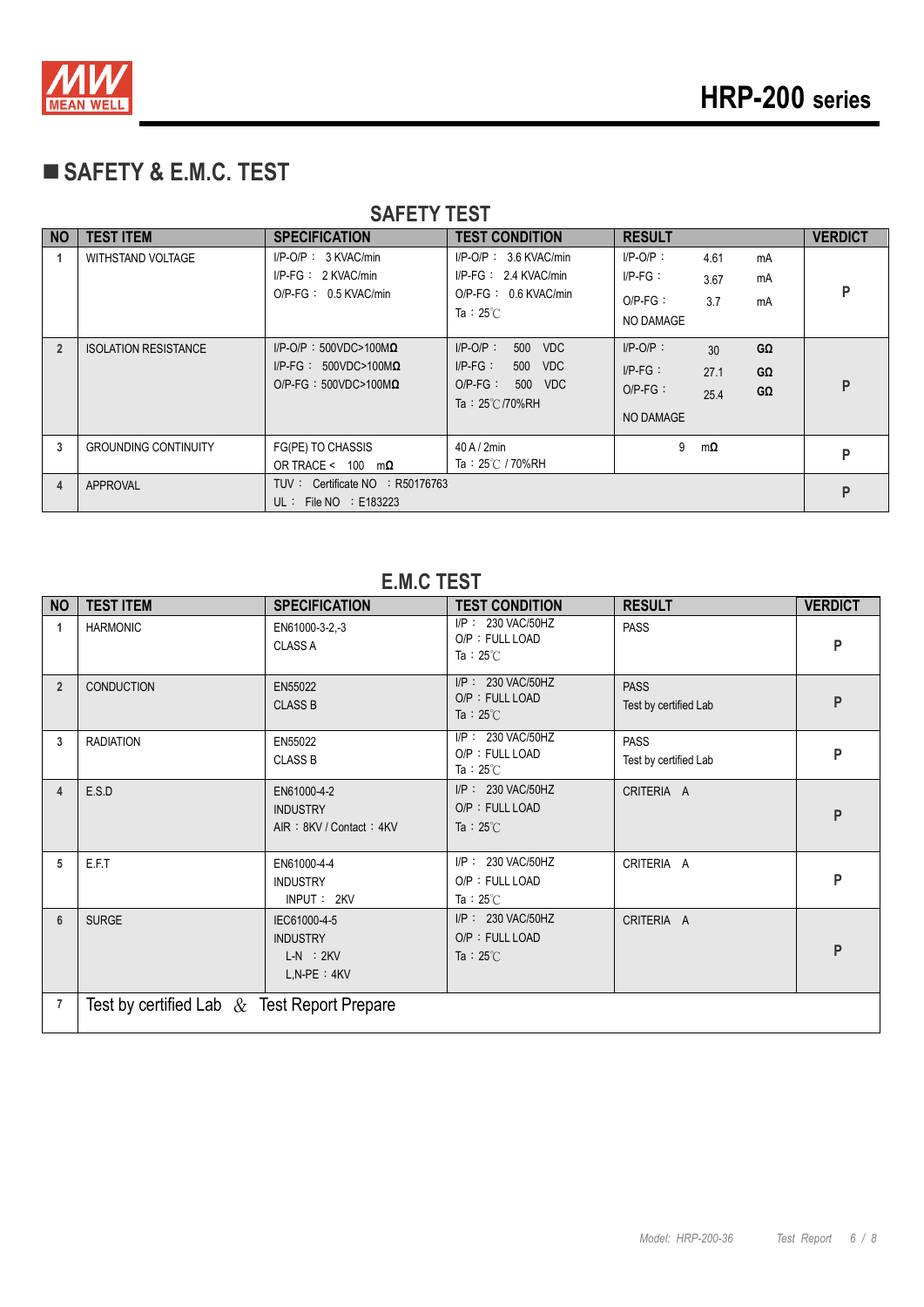

## **SAFETY & E.M.C. TEST**

| <b>SAFETY TEST</b> |                             |                                                                                                |                                                                                                       |                                                      |                     |                |                |
|--------------------|-----------------------------|------------------------------------------------------------------------------------------------|-------------------------------------------------------------------------------------------------------|------------------------------------------------------|---------------------|----------------|----------------|
| NO                 | <b>TEST ITEM</b>            | <b>SPECIFICATION</b>                                                                           | <b>TEST CONDITION</b>                                                                                 | <b>RESULT</b>                                        |                     |                | <b>VERDICT</b> |
|                    | <b>WITHSTAND VOLTAGE</b>    | $I/P-O/P$ : 3 KVAC/min<br>$I/P-FG: 2$ KVAC/min<br>O/P-FG: 0.5 KVAC/min                         | $I/P$ -O/P: 3.6 KVAC/min<br>$I/P-FG: 2.4 KVAC/min$<br>O/P-FG: 0.6 KVAC/min<br>Ta: $25^{\circ}$ C      | $I/P-O/P$ :<br>$IP-FG:$<br>$O/P-FG$ :<br>NO DAMAGE   | 4.61<br>3.67<br>3.7 | mA<br>mA<br>mA | P              |
| $\overline{2}$     | <b>ISOLATION RESISTANCE</b> | $I/P$ -O/P: 500VDC>100M $\Omega$<br>$I/P-FG: 500VDC>100M\Omega$<br>O/P-FG: $500VDC>100M\Omega$ | $I/P-O/P$ :<br>500 VDC<br>$IP-FG:$<br>500 VDC<br>$O/P-FG$ :<br>500<br>VDC<br>Ta: $25^{\circ}$ C/70%RH | $I/P-O/P$ :<br>$I/P-FG$ :<br>$O/P-FG$ :<br>NO DAMAGE | 30<br>27.1<br>25.4  | GΩ<br>GΩ<br>GΩ | P              |
| 3                  | <b>GROUNDING CONTINUITY</b> | FG(PE) TO CHASSIS<br>OR TRACE < $100 \text{ m}\Omega$                                          | $40$ A / $2$ min<br>Ta: $25^{\circ}$ C / 70%RH                                                        | 9                                                    | mΩ                  |                | P              |
| 4                  | <b>APPROVAL</b>             | UL : File NO : E183223                                                                         | TUV: Certificate NO : R50176763                                                                       |                                                      |                     |                |                |

## **E.M.C TEST**

| <b>NO</b>      | <b>TEST ITEM</b>                               | <b>SPECIFICATION</b>                                                | <b>TEST CONDITION</b>                                      | <b>RESULT</b>                        | <b>VERDICT</b> |
|----------------|------------------------------------------------|---------------------------------------------------------------------|------------------------------------------------------------|--------------------------------------|----------------|
| $\mathbf{1}$   | <b>HARMONIC</b>                                | EN61000-3-2,-3<br><b>CLASS A</b>                                    | I/P: 230 VAC/50HZ<br>O/P: FULL LOAD<br>Ta: $25^{\circ}$ C  | <b>PASS</b>                          | P              |
| $\overline{2}$ | <b>CONDUCTION</b>                              | EN55022<br><b>CLASS B</b>                                           | I/P: 230 VAC/50HZ<br>O/P: FULL LOAD<br>Ta: $25^{\circ}$ C  | <b>PASS</b><br>Test by certified Lab | P              |
| 3              | <b>RADIATION</b>                               | EN55022<br><b>CLASS B</b>                                           | I/P: 230 VAC/50HZ<br>O/P: FULL LOAD<br>Ta : $25^{\circ}$ C | <b>PASS</b><br>Test by certified Lab | P              |
| 4              | E.S.D                                          | EN61000-4-2<br><b>INDUSTRY</b><br>AIR: 8KV / Contact: 4KV           | I/P: 230 VAC/50HZ<br>O/P: FULL LOAD<br>Ta : $25^{\circ}$ C | CRITERIA A                           | P              |
| 5              | E.F.T                                          | EN61000-4-4<br><b>INDUSTRY</b><br>INPUT: 2KV                        | I/P: 230 VAC/50HZ<br>O/P: FULL LOAD<br>Ta : $25^{\circ}$ C | CRITERIA A                           | P              |
| 6              | <b>SURGE</b>                                   | IEC61000-4-5<br><b>INDUSTRY</b><br>$L-N$ : $2KV$<br>$L, N-PE : 4KV$ | I/P: 230 VAC/50HZ<br>O/P: FULL LOAD<br>Ta : $25^{\circ}$ C | CRITERIA A                           | P              |
| 7              | Test by certified Lab $\&$ Test Report Prepare |                                                                     |                                                            |                                      |                |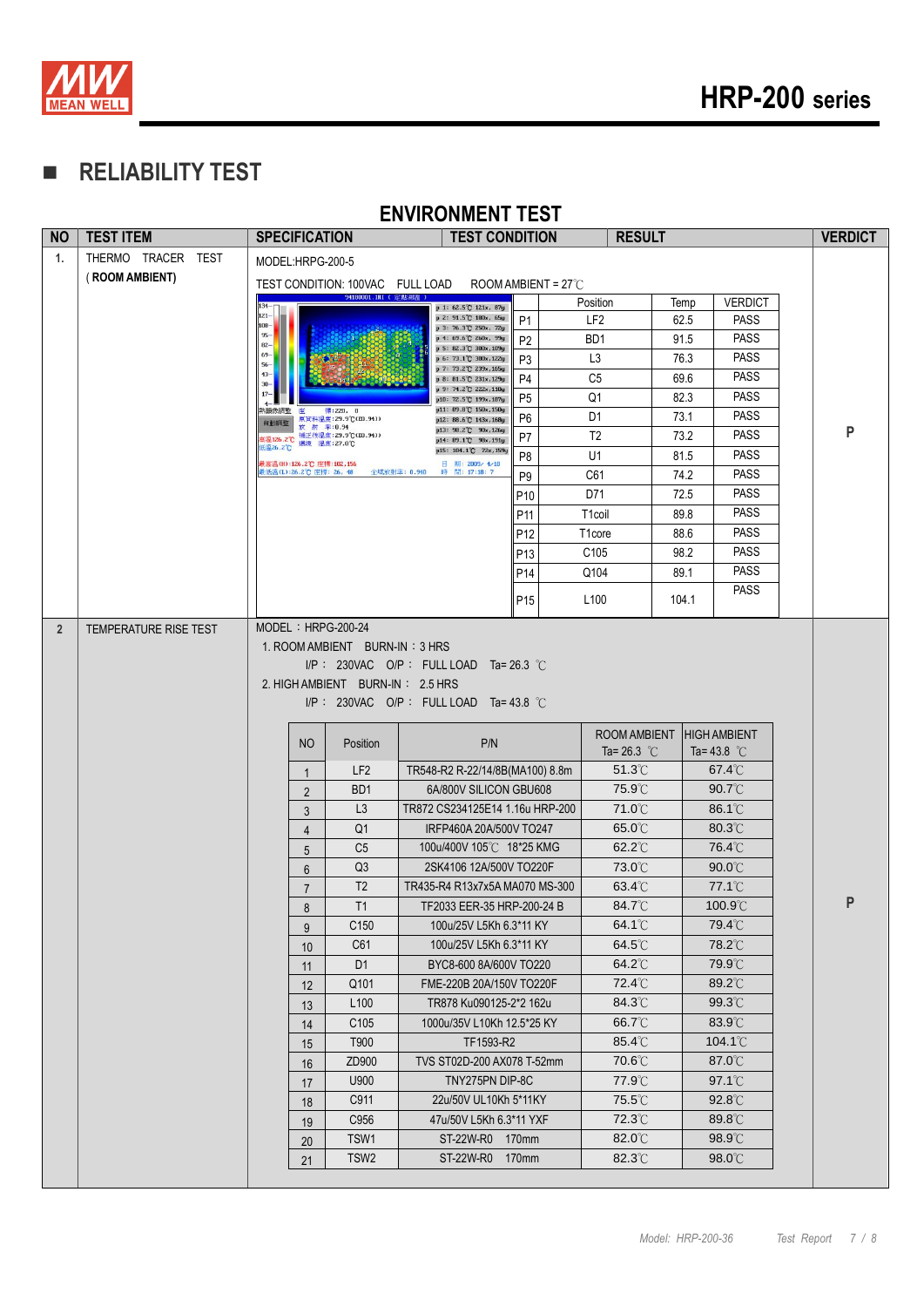

## **RELIABILITY TEST**

| THERMO TRACER TEST<br>1.<br>MODEL:HRPG-200-5<br>(ROOM AMBIENT)<br>TEST CONDITION: 100VAC FULL LOAD<br>ROOM AMBIENT = $27^{\circ}$ C<br>94180001.IRI (定點測溫)<br><b>VERDICT</b><br>Position<br>Temp<br>p 1: 62.5°C 121x, 87y<br>$121 -$<br>p 2: 91.5°C 180x, 65y<br>LF <sub>2</sub><br>62.5<br><b>PASS</b><br><b>P1</b><br>$108 -$<br>p 3: 76.3°C 250x, 72y<br>$95 -$<br><b>PASS</b><br>BD <sub>1</sub><br>91.5<br>p 4: 69.6 °C 260x, 99y<br>P <sub>2</sub><br>82-<br>p 5: 82.3℃ 300x,109y<br>69<br><b>PASS</b><br>L <sub>3</sub><br>76.3<br>p 6: 73.1 °C 300x, 122y<br>P3<br>$56-$<br>p 7: 73.2°C 239x, 165y<br>$43-$<br><b>PASS</b><br>C <sub>5</sub><br>69.6<br>P <sub>4</sub><br>p 8: 81.5°C 231x, 129y<br>$30 -$<br>p 9: 74.2°C 222x, 110y<br>$17-$<br><b>PASS</b><br>Q <sub>1</sub><br>82.3<br>P <sub>5</sub><br>p10: 72.5 °C 199x, 187y<br>p11: 89.8 °C 150x, 150y<br>热躁伤調整<br>座<br>標:220, 0<br><b>PASS</b><br>D <sub>1</sub><br>73.1<br>P <sub>6</sub><br>原資料溫度: 29.9℃(E0.94))<br>p12: 88.6 °C 143x, 168y<br>自動調整<br>放射 率:0.94<br>p13: 98.2°C 90x,126y<br>P<br><b>PASS</b><br>= 126.2℃ 補正後溫度: 29.9℃(E0.94))<br>■ 126.2℃ 環境 温度: 27.0℃<br>T <sub>2</sub><br>73.2<br>P7<br>p14: 89.1 C 98x, 191y<br>氏温26.2℃<br>p15: 104.1 °C 72x, 159<br><b>PASS</b><br>U1<br>81.5<br>P8<br>最高溫(H):126.2℃ 座標:102,156<br>日 期: 2009/ 4/18<br>表低温(L):26.2℃ 座標: 26, 48<br>全域放射率: 0.940<br>時間: 17:18: 7<br><b>PASS</b><br>74.2<br>C61<br>P <sub>9</sub><br><b>PASS</b><br>D71<br>72.5<br>P <sub>10</sub><br><b>PASS</b><br>T <sub>1</sub> coil<br>89.8<br>P11<br><b>PASS</b><br>T <sub>1</sub> core<br>88.6<br>P <sub>12</sub><br><b>PASS</b><br>C <sub>105</sub><br>98.2<br>P <sub>13</sub><br><b>PASS</b><br>Q104<br>89.1<br>P <sub>14</sub><br><b>PASS</b><br>L <sub>100</sub><br>104.1<br>P <sub>15</sub><br>$MODEL : HRPG-200-24$<br>$\overline{2}$<br>TEMPERATURE RISE TEST<br>1. ROOM AMBIENT BURN-IN: 3 HRS<br>I/P: 230VAC O/P: FULL LOAD Ta=26.3 °C<br>2. HIGH AMBIENT BURN-IN: 2.5 HRS<br>$I/P$ : 230VAC O/P: FULL LOAD Ta=43.8 °C<br>ROOM AMBIENT<br><b>HIGH AMBIENT</b><br>P/N<br><b>NO</b><br>Position<br>Ta= 26.3 $^{\circ}$ C<br>Ta= $43.8$ °C<br>LF <sub>2</sub><br>TR548-R2 R-22/14/8B(MA100) 8.8m<br>$51.3^{\circ}$<br>$67.4^{\circ}$ C<br>$\mathbf{1}$<br>BD <sub>1</sub><br>75.9°C<br>$90.7^{\circ}$ C<br>6A/800V SILICON GBU608<br>$\overline{2}$<br>L <sub>3</sub><br>TR872 CS234125E14 1.16u HRP-200<br>$71.0^{\circ}$ C<br>$86.1^{\circ}$ C<br>3<br>65.0°C<br>80.3°C<br>Q <sub>1</sub><br>IRFP460A 20A/500V TO247<br>$\overline{4}$<br>C <sub>5</sub><br>100u/400V 105℃ 18*25 KMG<br>$62.2^{\circ}$ C<br>76.4°C<br>5<br>Q3<br>2SK4106 12A/500V TO220F<br>73.0°C<br>$90.0^{\circ}$ C<br>6<br>77.1 <sup>°</sup> C<br>$63.4^{\circ}$ C<br>T <sub>2</sub><br>TR435-R4 R13x7x5A MA070 MS-300<br>$\overline{7}$<br>P<br>T1<br>84.7°C<br>$100.9^\circ C$<br>TF2033 EER-35 HRP-200-24 B<br>8<br>$64.1^{\circ}$ C<br>79.4°C<br>C <sub>150</sub><br>100u/25V L5Kh 6.3*11 KY<br>9<br>64.5°C<br>78.2°C<br>C61<br>100u/25V L5Kh 6.3*11 KY<br>10<br>64.2°C<br>79.9°C<br>D <sub>1</sub><br>BYC8-600 8A/600V TO220<br>11<br>72.4°C<br>$89.2^{\circ}$ C<br>Q101<br>FME-220B 20A/150V TO220F<br>12<br>84.3°C<br>99.3°C<br>L <sub>100</sub><br>TR878 Ku090125-2*2 162u<br>13<br>66.7°C<br>83.9°C<br>C <sub>105</sub><br>1000u/35V L10Kh 12.5*25 KY<br>14<br>T900<br>TF1593-R2<br>85.4°C<br>$104.1^{\circ}$<br>15<br>70.6°C<br>87.0°C<br>ZD900<br>TVS ST02D-200 AX078 T-52mm<br>16<br>TNY275PN DIP-8C<br>77.9°C<br>$97.1^{\circ}$<br>U900<br>17<br>75.5°C<br>C911<br>22u/50V UL10Kh 5*11KY<br>$92.8^{\circ}$<br>18<br>72.3°C<br>C956<br>47u/50V L5Kh 6.3*11 YXF<br>$89.8^\circ$ C<br>19<br>$82.0^{\circ}$ C<br>$98.9^{\circ}$<br>TSW1<br>ST-22W-R0<br>170mm<br>20<br>82.3°C<br>98.0°C<br>TSW <sub>2</sub><br>ST-22W-R0<br>170mm<br>21 | <b>NO</b> | <b>TEST ITEM</b> | <b>SPECIFICATION</b> |  | LIIIIVUIIILIII ILVI<br><b>TEST CONDITION</b> |  |  | <b>RESULT</b> |  |  | <b>VERDICT</b> |
|------------------------------------------------------------------------------------------------------------------------------------------------------------------------------------------------------------------------------------------------------------------------------------------------------------------------------------------------------------------------------------------------------------------------------------------------------------------------------------------------------------------------------------------------------------------------------------------------------------------------------------------------------------------------------------------------------------------------------------------------------------------------------------------------------------------------------------------------------------------------------------------------------------------------------------------------------------------------------------------------------------------------------------------------------------------------------------------------------------------------------------------------------------------------------------------------------------------------------------------------------------------------------------------------------------------------------------------------------------------------------------------------------------------------------------------------------------------------------------------------------------------------------------------------------------------------------------------------------------------------------------------------------------------------------------------------------------------------------------------------------------------------------------------------------------------------------------------------------------------------------------------------------------------------------------------------------------------------------------------------------------------------------------------------------------------------------------------------------------------------------------------------------------------------------------------------------------------------------------------------------------------------------------------------------------------------------------------------------------------------------------------------------------------------------------------------------------------------------------------------------------------------------------------------------------------------------------------------------------------------------------------------------------------------------------------------------------------------------------------------------------------------------------------------------------------------------------------------------------------------------------------------------------------------------------------------------------------------------------------------------------------------------------------------------------------------------------------------------------------------------------------------------------------------------------------------------------------------------------------------------------------------------------------------------------------------------------------------------------------------------------------------------------------------------------------------------------------------------------------------------------------------------------------------------------------------------------------------------------------------------------------------------------------------------------------------------------------------------------------------------------------------------------------------------------------------|-----------|------------------|----------------------|--|----------------------------------------------|--|--|---------------|--|--|----------------|
|                                                                                                                                                                                                                                                                                                                                                                                                                                                                                                                                                                                                                                                                                                                                                                                                                                                                                                                                                                                                                                                                                                                                                                                                                                                                                                                                                                                                                                                                                                                                                                                                                                                                                                                                                                                                                                                                                                                                                                                                                                                                                                                                                                                                                                                                                                                                                                                                                                                                                                                                                                                                                                                                                                                                                                                                                                                                                                                                                                                                                                                                                                                                                                                                                                                                                                                                                                                                                                                                                                                                                                                                                                                                                                                                                                                                                        |           |                  |                      |  |                                              |  |  |               |  |  |                |
|                                                                                                                                                                                                                                                                                                                                                                                                                                                                                                                                                                                                                                                                                                                                                                                                                                                                                                                                                                                                                                                                                                                                                                                                                                                                                                                                                                                                                                                                                                                                                                                                                                                                                                                                                                                                                                                                                                                                                                                                                                                                                                                                                                                                                                                                                                                                                                                                                                                                                                                                                                                                                                                                                                                                                                                                                                                                                                                                                                                                                                                                                                                                                                                                                                                                                                                                                                                                                                                                                                                                                                                                                                                                                                                                                                                                                        |           |                  |                      |  |                                              |  |  |               |  |  |                |
|                                                                                                                                                                                                                                                                                                                                                                                                                                                                                                                                                                                                                                                                                                                                                                                                                                                                                                                                                                                                                                                                                                                                                                                                                                                                                                                                                                                                                                                                                                                                                                                                                                                                                                                                                                                                                                                                                                                                                                                                                                                                                                                                                                                                                                                                                                                                                                                                                                                                                                                                                                                                                                                                                                                                                                                                                                                                                                                                                                                                                                                                                                                                                                                                                                                                                                                                                                                                                                                                                                                                                                                                                                                                                                                                                                                                                        |           |                  |                      |  |                                              |  |  |               |  |  |                |
|                                                                                                                                                                                                                                                                                                                                                                                                                                                                                                                                                                                                                                                                                                                                                                                                                                                                                                                                                                                                                                                                                                                                                                                                                                                                                                                                                                                                                                                                                                                                                                                                                                                                                                                                                                                                                                                                                                                                                                                                                                                                                                                                                                                                                                                                                                                                                                                                                                                                                                                                                                                                                                                                                                                                                                                                                                                                                                                                                                                                                                                                                                                                                                                                                                                                                                                                                                                                                                                                                                                                                                                                                                                                                                                                                                                                                        |           |                  |                      |  |                                              |  |  |               |  |  |                |
|                                                                                                                                                                                                                                                                                                                                                                                                                                                                                                                                                                                                                                                                                                                                                                                                                                                                                                                                                                                                                                                                                                                                                                                                                                                                                                                                                                                                                                                                                                                                                                                                                                                                                                                                                                                                                                                                                                                                                                                                                                                                                                                                                                                                                                                                                                                                                                                                                                                                                                                                                                                                                                                                                                                                                                                                                                                                                                                                                                                                                                                                                                                                                                                                                                                                                                                                                                                                                                                                                                                                                                                                                                                                                                                                                                                                                        |           |                  |                      |  |                                              |  |  |               |  |  |                |
|                                                                                                                                                                                                                                                                                                                                                                                                                                                                                                                                                                                                                                                                                                                                                                                                                                                                                                                                                                                                                                                                                                                                                                                                                                                                                                                                                                                                                                                                                                                                                                                                                                                                                                                                                                                                                                                                                                                                                                                                                                                                                                                                                                                                                                                                                                                                                                                                                                                                                                                                                                                                                                                                                                                                                                                                                                                                                                                                                                                                                                                                                                                                                                                                                                                                                                                                                                                                                                                                                                                                                                                                                                                                                                                                                                                                                        |           |                  |                      |  |                                              |  |  |               |  |  |                |
|                                                                                                                                                                                                                                                                                                                                                                                                                                                                                                                                                                                                                                                                                                                                                                                                                                                                                                                                                                                                                                                                                                                                                                                                                                                                                                                                                                                                                                                                                                                                                                                                                                                                                                                                                                                                                                                                                                                                                                                                                                                                                                                                                                                                                                                                                                                                                                                                                                                                                                                                                                                                                                                                                                                                                                                                                                                                                                                                                                                                                                                                                                                                                                                                                                                                                                                                                                                                                                                                                                                                                                                                                                                                                                                                                                                                                        |           |                  |                      |  |                                              |  |  |               |  |  |                |
|                                                                                                                                                                                                                                                                                                                                                                                                                                                                                                                                                                                                                                                                                                                                                                                                                                                                                                                                                                                                                                                                                                                                                                                                                                                                                                                                                                                                                                                                                                                                                                                                                                                                                                                                                                                                                                                                                                                                                                                                                                                                                                                                                                                                                                                                                                                                                                                                                                                                                                                                                                                                                                                                                                                                                                                                                                                                                                                                                                                                                                                                                                                                                                                                                                                                                                                                                                                                                                                                                                                                                                                                                                                                                                                                                                                                                        |           |                  |                      |  |                                              |  |  |               |  |  |                |
|                                                                                                                                                                                                                                                                                                                                                                                                                                                                                                                                                                                                                                                                                                                                                                                                                                                                                                                                                                                                                                                                                                                                                                                                                                                                                                                                                                                                                                                                                                                                                                                                                                                                                                                                                                                                                                                                                                                                                                                                                                                                                                                                                                                                                                                                                                                                                                                                                                                                                                                                                                                                                                                                                                                                                                                                                                                                                                                                                                                                                                                                                                                                                                                                                                                                                                                                                                                                                                                                                                                                                                                                                                                                                                                                                                                                                        |           |                  |                      |  |                                              |  |  |               |  |  |                |
|                                                                                                                                                                                                                                                                                                                                                                                                                                                                                                                                                                                                                                                                                                                                                                                                                                                                                                                                                                                                                                                                                                                                                                                                                                                                                                                                                                                                                                                                                                                                                                                                                                                                                                                                                                                                                                                                                                                                                                                                                                                                                                                                                                                                                                                                                                                                                                                                                                                                                                                                                                                                                                                                                                                                                                                                                                                                                                                                                                                                                                                                                                                                                                                                                                                                                                                                                                                                                                                                                                                                                                                                                                                                                                                                                                                                                        |           |                  |                      |  |                                              |  |  |               |  |  |                |
|                                                                                                                                                                                                                                                                                                                                                                                                                                                                                                                                                                                                                                                                                                                                                                                                                                                                                                                                                                                                                                                                                                                                                                                                                                                                                                                                                                                                                                                                                                                                                                                                                                                                                                                                                                                                                                                                                                                                                                                                                                                                                                                                                                                                                                                                                                                                                                                                                                                                                                                                                                                                                                                                                                                                                                                                                                                                                                                                                                                                                                                                                                                                                                                                                                                                                                                                                                                                                                                                                                                                                                                                                                                                                                                                                                                                                        |           |                  |                      |  |                                              |  |  |               |  |  |                |
|                                                                                                                                                                                                                                                                                                                                                                                                                                                                                                                                                                                                                                                                                                                                                                                                                                                                                                                                                                                                                                                                                                                                                                                                                                                                                                                                                                                                                                                                                                                                                                                                                                                                                                                                                                                                                                                                                                                                                                                                                                                                                                                                                                                                                                                                                                                                                                                                                                                                                                                                                                                                                                                                                                                                                                                                                                                                                                                                                                                                                                                                                                                                                                                                                                                                                                                                                                                                                                                                                                                                                                                                                                                                                                                                                                                                                        |           |                  |                      |  |                                              |  |  |               |  |  |                |
|                                                                                                                                                                                                                                                                                                                                                                                                                                                                                                                                                                                                                                                                                                                                                                                                                                                                                                                                                                                                                                                                                                                                                                                                                                                                                                                                                                                                                                                                                                                                                                                                                                                                                                                                                                                                                                                                                                                                                                                                                                                                                                                                                                                                                                                                                                                                                                                                                                                                                                                                                                                                                                                                                                                                                                                                                                                                                                                                                                                                                                                                                                                                                                                                                                                                                                                                                                                                                                                                                                                                                                                                                                                                                                                                                                                                                        |           |                  |                      |  |                                              |  |  |               |  |  |                |
|                                                                                                                                                                                                                                                                                                                                                                                                                                                                                                                                                                                                                                                                                                                                                                                                                                                                                                                                                                                                                                                                                                                                                                                                                                                                                                                                                                                                                                                                                                                                                                                                                                                                                                                                                                                                                                                                                                                                                                                                                                                                                                                                                                                                                                                                                                                                                                                                                                                                                                                                                                                                                                                                                                                                                                                                                                                                                                                                                                                                                                                                                                                                                                                                                                                                                                                                                                                                                                                                                                                                                                                                                                                                                                                                                                                                                        |           |                  |                      |  |                                              |  |  |               |  |  |                |
|                                                                                                                                                                                                                                                                                                                                                                                                                                                                                                                                                                                                                                                                                                                                                                                                                                                                                                                                                                                                                                                                                                                                                                                                                                                                                                                                                                                                                                                                                                                                                                                                                                                                                                                                                                                                                                                                                                                                                                                                                                                                                                                                                                                                                                                                                                                                                                                                                                                                                                                                                                                                                                                                                                                                                                                                                                                                                                                                                                                                                                                                                                                                                                                                                                                                                                                                                                                                                                                                                                                                                                                                                                                                                                                                                                                                                        |           |                  |                      |  |                                              |  |  |               |  |  |                |
|                                                                                                                                                                                                                                                                                                                                                                                                                                                                                                                                                                                                                                                                                                                                                                                                                                                                                                                                                                                                                                                                                                                                                                                                                                                                                                                                                                                                                                                                                                                                                                                                                                                                                                                                                                                                                                                                                                                                                                                                                                                                                                                                                                                                                                                                                                                                                                                                                                                                                                                                                                                                                                                                                                                                                                                                                                                                                                                                                                                                                                                                                                                                                                                                                                                                                                                                                                                                                                                                                                                                                                                                                                                                                                                                                                                                                        |           |                  |                      |  |                                              |  |  |               |  |  |                |
|                                                                                                                                                                                                                                                                                                                                                                                                                                                                                                                                                                                                                                                                                                                                                                                                                                                                                                                                                                                                                                                                                                                                                                                                                                                                                                                                                                                                                                                                                                                                                                                                                                                                                                                                                                                                                                                                                                                                                                                                                                                                                                                                                                                                                                                                                                                                                                                                                                                                                                                                                                                                                                                                                                                                                                                                                                                                                                                                                                                                                                                                                                                                                                                                                                                                                                                                                                                                                                                                                                                                                                                                                                                                                                                                                                                                                        |           |                  |                      |  |                                              |  |  |               |  |  |                |
|                                                                                                                                                                                                                                                                                                                                                                                                                                                                                                                                                                                                                                                                                                                                                                                                                                                                                                                                                                                                                                                                                                                                                                                                                                                                                                                                                                                                                                                                                                                                                                                                                                                                                                                                                                                                                                                                                                                                                                                                                                                                                                                                                                                                                                                                                                                                                                                                                                                                                                                                                                                                                                                                                                                                                                                                                                                                                                                                                                                                                                                                                                                                                                                                                                                                                                                                                                                                                                                                                                                                                                                                                                                                                                                                                                                                                        |           |                  |                      |  |                                              |  |  |               |  |  |                |
|                                                                                                                                                                                                                                                                                                                                                                                                                                                                                                                                                                                                                                                                                                                                                                                                                                                                                                                                                                                                                                                                                                                                                                                                                                                                                                                                                                                                                                                                                                                                                                                                                                                                                                                                                                                                                                                                                                                                                                                                                                                                                                                                                                                                                                                                                                                                                                                                                                                                                                                                                                                                                                                                                                                                                                                                                                                                                                                                                                                                                                                                                                                                                                                                                                                                                                                                                                                                                                                                                                                                                                                                                                                                                                                                                                                                                        |           |                  |                      |  |                                              |  |  |               |  |  |                |
|                                                                                                                                                                                                                                                                                                                                                                                                                                                                                                                                                                                                                                                                                                                                                                                                                                                                                                                                                                                                                                                                                                                                                                                                                                                                                                                                                                                                                                                                                                                                                                                                                                                                                                                                                                                                                                                                                                                                                                                                                                                                                                                                                                                                                                                                                                                                                                                                                                                                                                                                                                                                                                                                                                                                                                                                                                                                                                                                                                                                                                                                                                                                                                                                                                                                                                                                                                                                                                                                                                                                                                                                                                                                                                                                                                                                                        |           |                  |                      |  |                                              |  |  |               |  |  |                |
|                                                                                                                                                                                                                                                                                                                                                                                                                                                                                                                                                                                                                                                                                                                                                                                                                                                                                                                                                                                                                                                                                                                                                                                                                                                                                                                                                                                                                                                                                                                                                                                                                                                                                                                                                                                                                                                                                                                                                                                                                                                                                                                                                                                                                                                                                                                                                                                                                                                                                                                                                                                                                                                                                                                                                                                                                                                                                                                                                                                                                                                                                                                                                                                                                                                                                                                                                                                                                                                                                                                                                                                                                                                                                                                                                                                                                        |           |                  |                      |  |                                              |  |  |               |  |  |                |
|                                                                                                                                                                                                                                                                                                                                                                                                                                                                                                                                                                                                                                                                                                                                                                                                                                                                                                                                                                                                                                                                                                                                                                                                                                                                                                                                                                                                                                                                                                                                                                                                                                                                                                                                                                                                                                                                                                                                                                                                                                                                                                                                                                                                                                                                                                                                                                                                                                                                                                                                                                                                                                                                                                                                                                                                                                                                                                                                                                                                                                                                                                                                                                                                                                                                                                                                                                                                                                                                                                                                                                                                                                                                                                                                                                                                                        |           |                  |                      |  |                                              |  |  |               |  |  |                |
|                                                                                                                                                                                                                                                                                                                                                                                                                                                                                                                                                                                                                                                                                                                                                                                                                                                                                                                                                                                                                                                                                                                                                                                                                                                                                                                                                                                                                                                                                                                                                                                                                                                                                                                                                                                                                                                                                                                                                                                                                                                                                                                                                                                                                                                                                                                                                                                                                                                                                                                                                                                                                                                                                                                                                                                                                                                                                                                                                                                                                                                                                                                                                                                                                                                                                                                                                                                                                                                                                                                                                                                                                                                                                                                                                                                                                        |           |                  |                      |  |                                              |  |  |               |  |  |                |
|                                                                                                                                                                                                                                                                                                                                                                                                                                                                                                                                                                                                                                                                                                                                                                                                                                                                                                                                                                                                                                                                                                                                                                                                                                                                                                                                                                                                                                                                                                                                                                                                                                                                                                                                                                                                                                                                                                                                                                                                                                                                                                                                                                                                                                                                                                                                                                                                                                                                                                                                                                                                                                                                                                                                                                                                                                                                                                                                                                                                                                                                                                                                                                                                                                                                                                                                                                                                                                                                                                                                                                                                                                                                                                                                                                                                                        |           |                  |                      |  |                                              |  |  |               |  |  |                |
|                                                                                                                                                                                                                                                                                                                                                                                                                                                                                                                                                                                                                                                                                                                                                                                                                                                                                                                                                                                                                                                                                                                                                                                                                                                                                                                                                                                                                                                                                                                                                                                                                                                                                                                                                                                                                                                                                                                                                                                                                                                                                                                                                                                                                                                                                                                                                                                                                                                                                                                                                                                                                                                                                                                                                                                                                                                                                                                                                                                                                                                                                                                                                                                                                                                                                                                                                                                                                                                                                                                                                                                                                                                                                                                                                                                                                        |           |                  |                      |  |                                              |  |  |               |  |  |                |
|                                                                                                                                                                                                                                                                                                                                                                                                                                                                                                                                                                                                                                                                                                                                                                                                                                                                                                                                                                                                                                                                                                                                                                                                                                                                                                                                                                                                                                                                                                                                                                                                                                                                                                                                                                                                                                                                                                                                                                                                                                                                                                                                                                                                                                                                                                                                                                                                                                                                                                                                                                                                                                                                                                                                                                                                                                                                                                                                                                                                                                                                                                                                                                                                                                                                                                                                                                                                                                                                                                                                                                                                                                                                                                                                                                                                                        |           |                  |                      |  |                                              |  |  |               |  |  |                |
|                                                                                                                                                                                                                                                                                                                                                                                                                                                                                                                                                                                                                                                                                                                                                                                                                                                                                                                                                                                                                                                                                                                                                                                                                                                                                                                                                                                                                                                                                                                                                                                                                                                                                                                                                                                                                                                                                                                                                                                                                                                                                                                                                                                                                                                                                                                                                                                                                                                                                                                                                                                                                                                                                                                                                                                                                                                                                                                                                                                                                                                                                                                                                                                                                                                                                                                                                                                                                                                                                                                                                                                                                                                                                                                                                                                                                        |           |                  |                      |  |                                              |  |  |               |  |  |                |
|                                                                                                                                                                                                                                                                                                                                                                                                                                                                                                                                                                                                                                                                                                                                                                                                                                                                                                                                                                                                                                                                                                                                                                                                                                                                                                                                                                                                                                                                                                                                                                                                                                                                                                                                                                                                                                                                                                                                                                                                                                                                                                                                                                                                                                                                                                                                                                                                                                                                                                                                                                                                                                                                                                                                                                                                                                                                                                                                                                                                                                                                                                                                                                                                                                                                                                                                                                                                                                                                                                                                                                                                                                                                                                                                                                                                                        |           |                  |                      |  |                                              |  |  |               |  |  |                |
|                                                                                                                                                                                                                                                                                                                                                                                                                                                                                                                                                                                                                                                                                                                                                                                                                                                                                                                                                                                                                                                                                                                                                                                                                                                                                                                                                                                                                                                                                                                                                                                                                                                                                                                                                                                                                                                                                                                                                                                                                                                                                                                                                                                                                                                                                                                                                                                                                                                                                                                                                                                                                                                                                                                                                                                                                                                                                                                                                                                                                                                                                                                                                                                                                                                                                                                                                                                                                                                                                                                                                                                                                                                                                                                                                                                                                        |           |                  |                      |  |                                              |  |  |               |  |  |                |
|                                                                                                                                                                                                                                                                                                                                                                                                                                                                                                                                                                                                                                                                                                                                                                                                                                                                                                                                                                                                                                                                                                                                                                                                                                                                                                                                                                                                                                                                                                                                                                                                                                                                                                                                                                                                                                                                                                                                                                                                                                                                                                                                                                                                                                                                                                                                                                                                                                                                                                                                                                                                                                                                                                                                                                                                                                                                                                                                                                                                                                                                                                                                                                                                                                                                                                                                                                                                                                                                                                                                                                                                                                                                                                                                                                                                                        |           |                  |                      |  |                                              |  |  |               |  |  |                |
|                                                                                                                                                                                                                                                                                                                                                                                                                                                                                                                                                                                                                                                                                                                                                                                                                                                                                                                                                                                                                                                                                                                                                                                                                                                                                                                                                                                                                                                                                                                                                                                                                                                                                                                                                                                                                                                                                                                                                                                                                                                                                                                                                                                                                                                                                                                                                                                                                                                                                                                                                                                                                                                                                                                                                                                                                                                                                                                                                                                                                                                                                                                                                                                                                                                                                                                                                                                                                                                                                                                                                                                                                                                                                                                                                                                                                        |           |                  |                      |  |                                              |  |  |               |  |  |                |
|                                                                                                                                                                                                                                                                                                                                                                                                                                                                                                                                                                                                                                                                                                                                                                                                                                                                                                                                                                                                                                                                                                                                                                                                                                                                                                                                                                                                                                                                                                                                                                                                                                                                                                                                                                                                                                                                                                                                                                                                                                                                                                                                                                                                                                                                                                                                                                                                                                                                                                                                                                                                                                                                                                                                                                                                                                                                                                                                                                                                                                                                                                                                                                                                                                                                                                                                                                                                                                                                                                                                                                                                                                                                                                                                                                                                                        |           |                  |                      |  |                                              |  |  |               |  |  |                |
|                                                                                                                                                                                                                                                                                                                                                                                                                                                                                                                                                                                                                                                                                                                                                                                                                                                                                                                                                                                                                                                                                                                                                                                                                                                                                                                                                                                                                                                                                                                                                                                                                                                                                                                                                                                                                                                                                                                                                                                                                                                                                                                                                                                                                                                                                                                                                                                                                                                                                                                                                                                                                                                                                                                                                                                                                                                                                                                                                                                                                                                                                                                                                                                                                                                                                                                                                                                                                                                                                                                                                                                                                                                                                                                                                                                                                        |           |                  |                      |  |                                              |  |  |               |  |  |                |
|                                                                                                                                                                                                                                                                                                                                                                                                                                                                                                                                                                                                                                                                                                                                                                                                                                                                                                                                                                                                                                                                                                                                                                                                                                                                                                                                                                                                                                                                                                                                                                                                                                                                                                                                                                                                                                                                                                                                                                                                                                                                                                                                                                                                                                                                                                                                                                                                                                                                                                                                                                                                                                                                                                                                                                                                                                                                                                                                                                                                                                                                                                                                                                                                                                                                                                                                                                                                                                                                                                                                                                                                                                                                                                                                                                                                                        |           |                  |                      |  |                                              |  |  |               |  |  |                |
|                                                                                                                                                                                                                                                                                                                                                                                                                                                                                                                                                                                                                                                                                                                                                                                                                                                                                                                                                                                                                                                                                                                                                                                                                                                                                                                                                                                                                                                                                                                                                                                                                                                                                                                                                                                                                                                                                                                                                                                                                                                                                                                                                                                                                                                                                                                                                                                                                                                                                                                                                                                                                                                                                                                                                                                                                                                                                                                                                                                                                                                                                                                                                                                                                                                                                                                                                                                                                                                                                                                                                                                                                                                                                                                                                                                                                        |           |                  |                      |  |                                              |  |  |               |  |  |                |
|                                                                                                                                                                                                                                                                                                                                                                                                                                                                                                                                                                                                                                                                                                                                                                                                                                                                                                                                                                                                                                                                                                                                                                                                                                                                                                                                                                                                                                                                                                                                                                                                                                                                                                                                                                                                                                                                                                                                                                                                                                                                                                                                                                                                                                                                                                                                                                                                                                                                                                                                                                                                                                                                                                                                                                                                                                                                                                                                                                                                                                                                                                                                                                                                                                                                                                                                                                                                                                                                                                                                                                                                                                                                                                                                                                                                                        |           |                  |                      |  |                                              |  |  |               |  |  |                |
|                                                                                                                                                                                                                                                                                                                                                                                                                                                                                                                                                                                                                                                                                                                                                                                                                                                                                                                                                                                                                                                                                                                                                                                                                                                                                                                                                                                                                                                                                                                                                                                                                                                                                                                                                                                                                                                                                                                                                                                                                                                                                                                                                                                                                                                                                                                                                                                                                                                                                                                                                                                                                                                                                                                                                                                                                                                                                                                                                                                                                                                                                                                                                                                                                                                                                                                                                                                                                                                                                                                                                                                                                                                                                                                                                                                                                        |           |                  |                      |  |                                              |  |  |               |  |  |                |
|                                                                                                                                                                                                                                                                                                                                                                                                                                                                                                                                                                                                                                                                                                                                                                                                                                                                                                                                                                                                                                                                                                                                                                                                                                                                                                                                                                                                                                                                                                                                                                                                                                                                                                                                                                                                                                                                                                                                                                                                                                                                                                                                                                                                                                                                                                                                                                                                                                                                                                                                                                                                                                                                                                                                                                                                                                                                                                                                                                                                                                                                                                                                                                                                                                                                                                                                                                                                                                                                                                                                                                                                                                                                                                                                                                                                                        |           |                  |                      |  |                                              |  |  |               |  |  |                |
|                                                                                                                                                                                                                                                                                                                                                                                                                                                                                                                                                                                                                                                                                                                                                                                                                                                                                                                                                                                                                                                                                                                                                                                                                                                                                                                                                                                                                                                                                                                                                                                                                                                                                                                                                                                                                                                                                                                                                                                                                                                                                                                                                                                                                                                                                                                                                                                                                                                                                                                                                                                                                                                                                                                                                                                                                                                                                                                                                                                                                                                                                                                                                                                                                                                                                                                                                                                                                                                                                                                                                                                                                                                                                                                                                                                                                        |           |                  |                      |  |                                              |  |  |               |  |  |                |
|                                                                                                                                                                                                                                                                                                                                                                                                                                                                                                                                                                                                                                                                                                                                                                                                                                                                                                                                                                                                                                                                                                                                                                                                                                                                                                                                                                                                                                                                                                                                                                                                                                                                                                                                                                                                                                                                                                                                                                                                                                                                                                                                                                                                                                                                                                                                                                                                                                                                                                                                                                                                                                                                                                                                                                                                                                                                                                                                                                                                                                                                                                                                                                                                                                                                                                                                                                                                                                                                                                                                                                                                                                                                                                                                                                                                                        |           |                  |                      |  |                                              |  |  |               |  |  |                |

#### **ENVIRONMENT TEST**